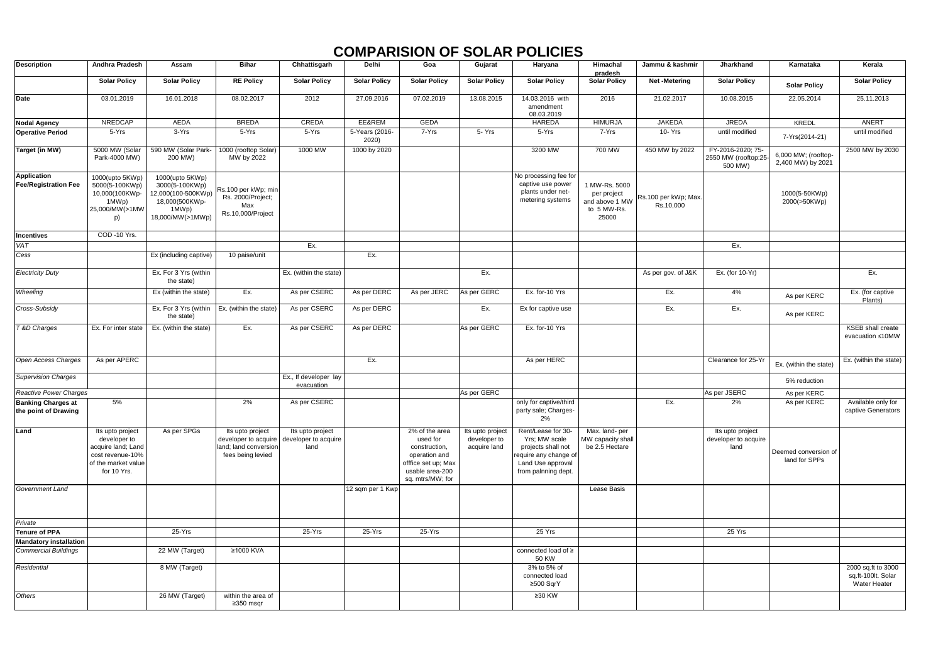| <b>Description</b>                                | <b>Andhra Pradesh</b>                                                                                            | Assam                                                                                                  | <b>Bihar</b>                                                                           | Chhattisgarh                                     | Delhi                   | Goa                                                                                                                        | Gujarat                                          | Haryana                                                                                                                        | Himachal<br>pradesh                                                    | Jammu & kashmir                   | Jharkhand                                           | Karnataka                                | Kerala                                                   |
|---------------------------------------------------|------------------------------------------------------------------------------------------------------------------|--------------------------------------------------------------------------------------------------------|----------------------------------------------------------------------------------------|--------------------------------------------------|-------------------------|----------------------------------------------------------------------------------------------------------------------------|--------------------------------------------------|--------------------------------------------------------------------------------------------------------------------------------|------------------------------------------------------------------------|-----------------------------------|-----------------------------------------------------|------------------------------------------|----------------------------------------------------------|
|                                                   | <b>Solar Policy</b>                                                                                              | <b>Solar Policy</b>                                                                                    | <b>RE Policy</b>                                                                       | <b>Solar Policy</b>                              | <b>Solar Policy</b>     | <b>Solar Policy</b>                                                                                                        | <b>Solar Policy</b>                              | <b>Solar Policy</b>                                                                                                            | <b>Solar Policy</b>                                                    | Net -Metering                     | <b>Solar Policy</b>                                 | <b>Solar Policy</b>                      | <b>Solar Policy</b>                                      |
| <b>Date</b>                                       | 03.01.2019                                                                                                       | 16.01.2018                                                                                             | 08.02.2017                                                                             | 2012                                             | 27.09.2016              | 07.02.2019                                                                                                                 | 13.08.2015                                       | 14.03.2016 with<br>amendment<br>08.03.2019                                                                                     | 2016                                                                   | 21.02.2017                        | 10.08.2015                                          | 22.05.2014                               | 25.11.2013                                               |
| <b>Nodal Agency</b>                               | <b>NREDCAP</b>                                                                                                   | AEDA                                                                                                   | <b>BREDA</b>                                                                           | CREDA                                            | EE&REM                  | <b>GEDA</b>                                                                                                                |                                                  | <b>HAREDA</b>                                                                                                                  | <b>HIMURJA</b>                                                         | <b>JAKEDA</b>                     | <b>JREDA</b>                                        | KREDL                                    | ANERT                                                    |
| <b>Operative Period</b>                           | $5-Yrs$                                                                                                          | $3-Yrs$                                                                                                | $5-Yrs$                                                                                | $5-Yrs$                                          | 5-Years (2016-<br>2020) | $7-Yrs$                                                                                                                    | 5-Yrs                                            | $5-Yrs$                                                                                                                        | $7-Yrs$                                                                | 10 Yrs                            | until modified                                      | 7-Yrs(2014-21)                           | until modified                                           |
| Target (in MW)                                    | 5000 MW (Solar<br>Park-4000 MW)                                                                                  | 590 MW (Solar Park-<br>200 MW)                                                                         | 1000 (rooftop Solar)<br>MW by 2022                                                     | 1000 MW                                          | 1000 by 2020            |                                                                                                                            |                                                  | 3200 MW                                                                                                                        | 700 MW                                                                 | 450 MW by 2022                    | FY-2016-2020; 75-<br>2550 MW (rooftop:25<br>500 MW) | 6,000 MW; (rooftop-<br>2,400 MW) by 2021 | 2500 MW by 2030                                          |
| <b>Application</b><br><b>Fee/Registration Fee</b> | 1000(upto 5KWp)<br>5000(5-100KWp)<br>10,000(100KWp-<br>1MWp)<br>25,000/MW(>1MW<br>p)                             | 1000(upto 5KWp)<br>3000(5-100KWp)<br>12,000(100-500KWp)<br>18,000(500KWp-<br>1MWp)<br>18,000/MW(>1MWp) | Rs.100 per kWp; min<br>Rs. 2000/Project;<br>Max<br>Rs.10,000/Project                   |                                                  |                         |                                                                                                                            |                                                  | No processing fee for<br>captive use power<br>plants under net-<br>metering systems                                            | 1 MW-Rs. 5000<br>per project<br>and above 1 MW<br>to 5 MW-Rs.<br>25000 | Rs.100 per kWp; Max.<br>Rs.10,000 |                                                     | 1000(5-50KWp)<br>2000(>50KWp)            |                                                          |
| <b>Incentives</b>                                 | COD -10 Yrs.                                                                                                     |                                                                                                        |                                                                                        |                                                  |                         |                                                                                                                            |                                                  |                                                                                                                                |                                                                        |                                   |                                                     |                                          |                                                          |
| VAT                                               |                                                                                                                  |                                                                                                        |                                                                                        | Ex.                                              |                         |                                                                                                                            |                                                  |                                                                                                                                |                                                                        |                                   | Ex.                                                 |                                          |                                                          |
| Cess                                              |                                                                                                                  | Ex (including captive)                                                                                 | 10 paise/unit                                                                          |                                                  | Ex.                     |                                                                                                                            |                                                  |                                                                                                                                |                                                                        |                                   |                                                     |                                          |                                                          |
| <b>Electricity Duty</b>                           |                                                                                                                  | Ex. For 3 Yrs (within<br>the state)                                                                    |                                                                                        | Ex. (within the state)                           |                         |                                                                                                                            | Ex.                                              |                                                                                                                                |                                                                        | As per gov. of J&K                | Ex. (for 10-Yr)                                     |                                          | Ex.                                                      |
| Wheeling                                          |                                                                                                                  | Ex (within the state)                                                                                  | Ex.                                                                                    | As per CSERC                                     | As per DERC             | As per JERC                                                                                                                | As per GERC                                      | Ex. for-10 Yrs                                                                                                                 |                                                                        | Ex.                               | 4%                                                  | As per KERC                              | Ex. (for captive<br>Plants)                              |
| Cross-Subsidy                                     |                                                                                                                  | Ex. For 3 Yrs (within<br>the state)                                                                    | Ex. (within the state)                                                                 | As per CSERC                                     | As per DERC             |                                                                                                                            | Ex.                                              | Ex for captive use                                                                                                             |                                                                        | Ex.                               | Ex.                                                 | As per KERC                              |                                                          |
| T &D Charges                                      | Ex. For inter state                                                                                              | Ex. (within the state)                                                                                 | Ex.                                                                                    | As per CSERC                                     | As per DERC             |                                                                                                                            | As per GERC                                      | Ex. for-10 Yrs                                                                                                                 |                                                                        |                                   |                                                     |                                          | <b>KSEB</b> shall create<br>evacuation ≤10MW             |
| <b>Open Access Charges</b>                        | As per APERC                                                                                                     |                                                                                                        |                                                                                        |                                                  | Ex.                     |                                                                                                                            |                                                  | As per HERC                                                                                                                    |                                                                        |                                   | Clearance for 25-Yr                                 | Ex. (within the state)                   | Ex. (within the state)                                   |
| <b>Supervision Charges</b>                        |                                                                                                                  |                                                                                                        |                                                                                        | Ex., If developer lay<br>evacuation              |                         |                                                                                                                            |                                                  |                                                                                                                                |                                                                        |                                   |                                                     | 5% reduction                             |                                                          |
| <b>Reactive Power Charges</b>                     |                                                                                                                  |                                                                                                        |                                                                                        |                                                  |                         |                                                                                                                            | As per GERC                                      |                                                                                                                                |                                                                        |                                   | As per JSERC                                        | As per KERC                              |                                                          |
| <b>Banking Charges at</b><br>the point of Drawing | 5%                                                                                                               |                                                                                                        | 2%                                                                                     | As per CSERC                                     |                         |                                                                                                                            |                                                  | only for captive/third<br>party sale; Charges-<br>2%                                                                           |                                                                        | Ex.                               | 2%                                                  | As per KERC                              | Available only for<br>captive Generators                 |
| Land                                              | Its upto project<br>developer to<br>acquire land; Land<br>cost revenue-10%<br>of the market value<br>for 10 Yrs. | As per SPGs                                                                                            | Its upto project<br>developer to acquire<br>land; land conversion<br>fees being levied | Its upto project<br>developer to acquire<br>land |                         | 2% of the area<br>used for<br>construction,<br>operation and<br>offfice set up; Max<br>usable area-200<br>sq. mtrs/MW; for | Its upto project<br>developer to<br>acquire land | Rent/Lease for 30-<br>Yrs; MW scale<br>projects shall not<br>require any change of<br>Land Use approval<br>from palnning dept. | Max. land-per<br>MW capacity shall<br>be 2.5 Hectare                   |                                   | Its upto project<br>developer to acquire<br>land    | Deemed conversion of<br>land for SPPs    |                                                          |
| Government Land                                   |                                                                                                                  |                                                                                                        |                                                                                        |                                                  | 12 sqm per 1 Kwp        |                                                                                                                            |                                                  |                                                                                                                                | Lease Basis                                                            |                                   |                                                     |                                          |                                                          |
| Private                                           |                                                                                                                  |                                                                                                        |                                                                                        |                                                  |                         |                                                                                                                            |                                                  |                                                                                                                                |                                                                        |                                   |                                                     |                                          |                                                          |
| <b>Tenure of PPA</b>                              |                                                                                                                  | 25-Yrs                                                                                                 |                                                                                        | 25-Yrs                                           | 25-Yrs                  | 25-Yrs                                                                                                                     |                                                  | 25 Yrs                                                                                                                         |                                                                        |                                   | 25 Yrs                                              |                                          |                                                          |
| <b>Mandatory installation</b>                     |                                                                                                                  |                                                                                                        |                                                                                        |                                                  |                         |                                                                                                                            |                                                  |                                                                                                                                |                                                                        |                                   |                                                     |                                          |                                                          |
| <b>Commercial Buildings</b>                       |                                                                                                                  | 22 MW (Target)                                                                                         | ≥1000 KVA                                                                              |                                                  |                         |                                                                                                                            |                                                  | connected load of ≥<br><b>50 KW</b>                                                                                            |                                                                        |                                   |                                                     |                                          |                                                          |
| Residential                                       |                                                                                                                  | 8 MW (Target)                                                                                          |                                                                                        |                                                  |                         |                                                                                                                            |                                                  | 3% to 5% of<br>connected load<br>≥500 SqrY                                                                                     |                                                                        |                                   |                                                     |                                          | 2000 sq.ft to 3000<br>sq.ft-100lt. Solar<br>Water Heater |
| Others                                            |                                                                                                                  | 26 MW (Target)                                                                                         | within the area of<br>≥350 msqr                                                        |                                                  |                         |                                                                                                                            |                                                  | $\geq$ 30 KW                                                                                                                   |                                                                        |                                   |                                                     |                                          |                                                          |

## **COMPARISION OF SOLAR POLICIES**